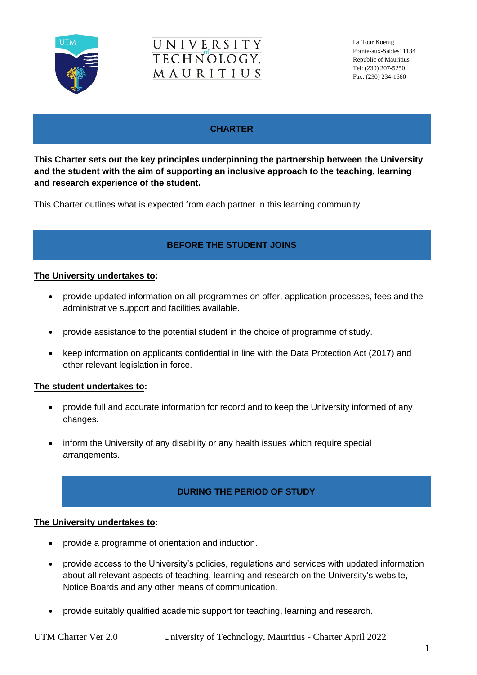



La Tour Koenig Pointe-aux-Sables11134 Republic of Mauritius Tel: (230) 207-5250 Fax: (230) 234-1660

*p*

*t*

# **CHARTER**

*n* **This Charter sets out the key principles underpinning the partnership between the University and the student with the aim of supporting an inclusive approach to the teaching, learning and research experience of the student.**

This Charter outlines what is expected from each partner in this learning community.

# **BEFORE THE STUDENT JOINS**

## **The University undertakes to:**

- *i s* • provide updated information on all programmes on offer, application processes, fees and the administrative support and facilities available.
- provide assistance to the potential student in the choice of programme of study.
- keep information on applicants confidential in line with the Data Protection Act (2017) and other relevant legislation in force.

## **The student undertakes to:**

- provide full and accurate information for record and to keep the University informed of any changes.
- inform the University of any disability or any health issues which require special arrangements.

# **DURING THE PERIOD OF STUDY**

#### **The University undertakes to:**

- provide a programme of orientation and induction.
- *a n* • provide access to the University's policies, regulations and services with updated information about all relevant aspects of teaching, learning and research on the University's website, Notice Boards and any other means of communication.
- provide suitably qualified academic support for teaching, learning and research.

*E*

*a*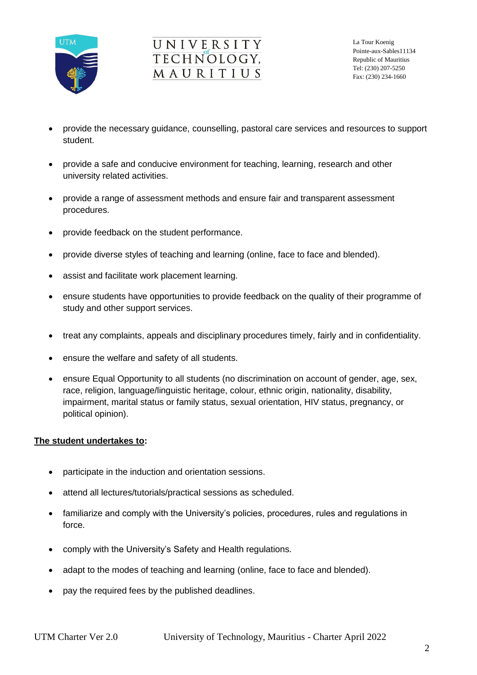

# UNIVERSITY TECHNOLOGY, MAURITIUS

La Tour Koenig Pointe-aux-Sables11134 Republic of Mauritius Tel: (230) 207-5250 Fax: (230) 234-1660

- *r a* • provide the necessary guidance, counselling, pastoral care services and resources to support student.
- provide a safe and conducive environment for teaching, learning, research and other university related activities.
- provide a range of assessment methods and ensure fair and transparent assessment procedures.
- provide feedback on the student performance.
- provide diverse styles of teaching and learning (online, face to face and blended).
- assist and facilitate work placement learning.
- *i s* • ensure students have opportunities to provide feedback on the quality of their programme of study and other support services.
- treat any complaints, appeals and disciplinary procedures timely, fairly and in confidentiality.
- ensure the welfare and safety of all students.
- ensure Equal Opportunity to all students (no discrimination on account of gender, age, sex, race, religion, language/linguistic heritage, colour, ethnic origin, nationality, disability, impairment, marital status or family status, sexual orientation, HIV status, pregnancy, or political opinion).

# **The student undertakes to:**

- participate in the induction and orientation sessions.
- attend all lectures/tutorials/practical sessions as scheduled.
- familiarize and comply with the University's policies, procedures, rules and regulations in force.
- comply with the University's Safety and Health regulations.
- adapt to the modes of teaching and learning (online, face to face and blended).
- pay the required fees by the published deadlines.